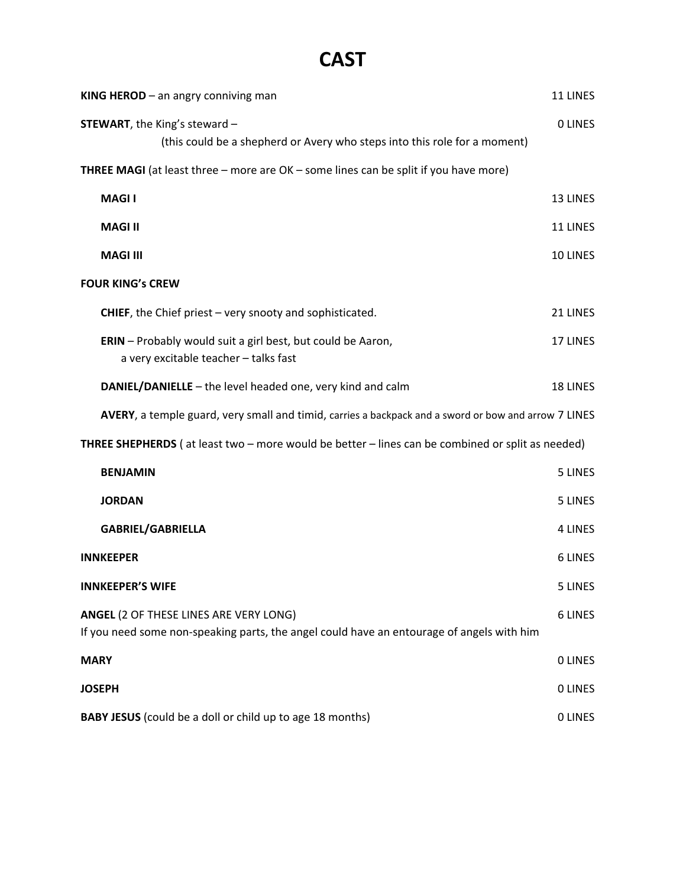# **CAST**

| KING HEROD $-$ an angry conniving man                                                                                                      | 11 LINES       |
|--------------------------------------------------------------------------------------------------------------------------------------------|----------------|
| <b>STEWART</b> , the King's steward -<br>(this could be a shepherd or Avery who steps into this role for a moment)                         | <b>OLINES</b>  |
| <b>THREE MAGI</b> (at least three - more are OK - some lines can be split if you have more)                                                |                |
| <b>MAGII</b>                                                                                                                               | 13 LINES       |
| <b>MAGI II</b>                                                                                                                             | 11 LINES       |
| <b>MAGI III</b>                                                                                                                            | 10 LINES       |
| <b>FOUR KING's CREW</b>                                                                                                                    |                |
| <b>CHIEF</b> , the Chief priest $-$ very snooty and sophisticated.                                                                         | 21 LINES       |
| <b>ERIN</b> - Probably would suit a girl best, but could be Aaron,<br>a very excitable teacher - talks fast                                | 17 LINES       |
| DANIEL/DANIELLE - the level headed one, very kind and calm                                                                                 | 18 LINES       |
| AVERY, a temple guard, very small and timid, carries a backpack and a sword or bow and arrow 7 LINES                                       |                |
| THREE SHEPHERDS (at least two - more would be better - lines can be combined or split as needed)                                           |                |
| <b>BENJAMIN</b>                                                                                                                            | 5 LINES        |
| <b>JORDAN</b>                                                                                                                              | 5 LINES        |
| <b>GABRIEL/GABRIELLA</b>                                                                                                                   | <b>4 LINES</b> |
| <b>INNKEEPER</b>                                                                                                                           | 6 LINES        |
| <b>INNKEEPER'S WIFE</b>                                                                                                                    | 5 LINES        |
| <b>ANGEL (2 OF THESE LINES ARE VERY LONG)</b><br>If you need some non-speaking parts, the angel could have an entourage of angels with him | <b>6 LINES</b> |
| <b>MARY</b>                                                                                                                                | <b>OLINES</b>  |
| <b>JOSEPH</b>                                                                                                                              | <b>OLINES</b>  |
| <b>BABY JESUS</b> (could be a doll or child up to age 18 months)                                                                           | <b>OLINES</b>  |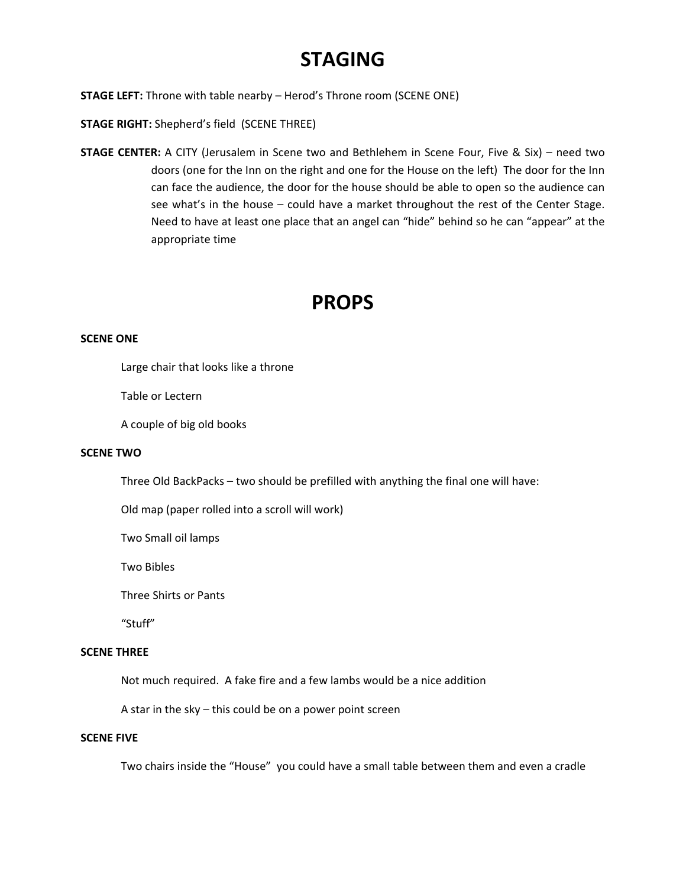# **STAGING**

**STAGE LEFT:** Throne with table nearby – Herod's Throne room (SCENE ONE)

**STAGE RIGHT:** Shepherd's field (SCENE THREE)

**STAGE CENTER:** A CITY (Jerusalem in Scene two and Bethlehem in Scene Four, Five & Six) – need two doors (one for the Inn on the right and one for the House on the left) The door for the Inn can face the audience, the door for the house should be able to open so the audience can see what's in the house – could have a market throughout the rest of the Center Stage. Need to have at least one place that an angel can "hide" behind so he can "appear" at the appropriate time

### **PROPS**

### **SCENE ONE**

Large chair that looks like a throne

Table or Lectern

A couple of big old books

#### **SCENE TWO**

Three Old BackPacks – two should be prefilled with anything the final one will have:

Old map (paper rolled into a scroll will work)

Two Small oil lamps

Two Bibles

Three Shirts or Pants

"Stuff"

#### **SCENE THREE**

Not much required. A fake fire and a few lambs would be a nice addition

A star in the sky – this could be on a power point screen

#### **SCENE FIVE**

Two chairs inside the "House" you could have a small table between them and even a cradle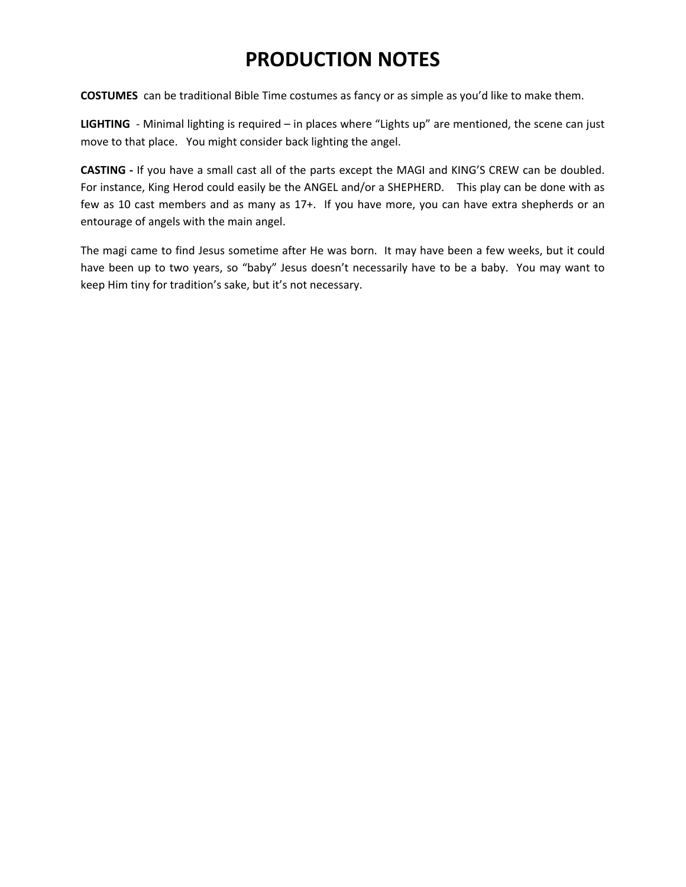# **PRODUCTION NOTES**

**COSTUMES** can be traditional Bible Time costumes as fancy or as simple as you'd like to make them.

LIGHTING - Minimal lighting is required – in places where "Lights up" are mentioned, the scene can just move to that place. You might consider back lighting the angel.

**CASTING ‐** If you have a small cast all of the parts except the MAGI and KING'S CREW can be doubled. For instance, King Herod could easily be the ANGEL and/or a SHEPHERD. This play can be done with as few as 10 cast members and as many as 17+. If you have more, you can have extra shepherds or an entourage of angels with the main angel.

The magi came to find Jesus sometime after He was born. It may have been a few weeks, but it could have been up to two years, so "baby" Jesus doesn't necessarily have to be a baby. You may want to keep Him tiny for tradition's sake, but it's not necessary.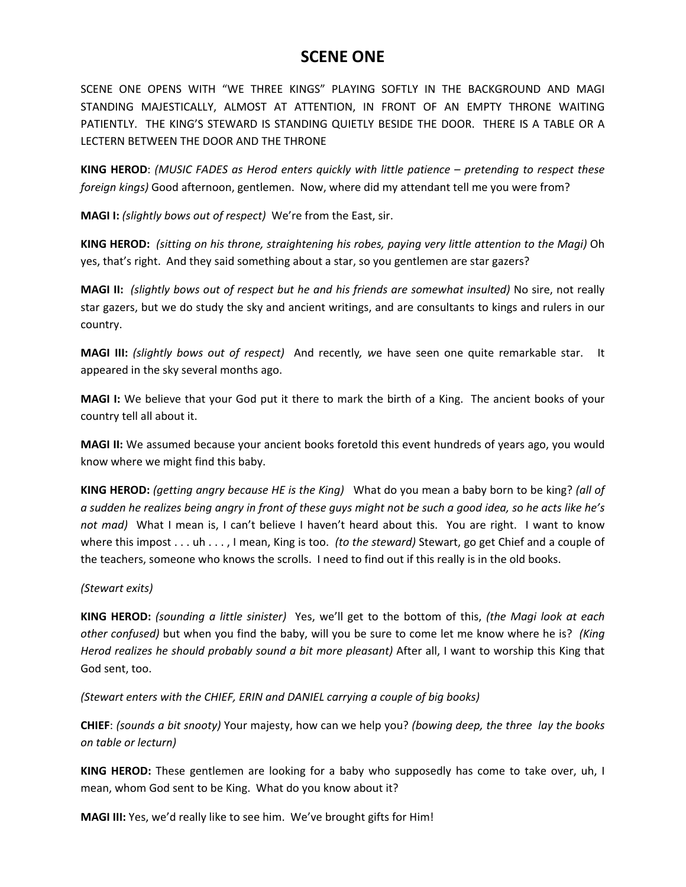### **SCENE ONE**

SCENE ONE OPENS WITH "WE THREE KINGS" PLAYING SOFTLY IN THE BACKGROUND AND MAGI STANDING MAJESTICALLY, ALMOST AT ATTENTION, IN FRONT OF AN EMPTY THRONE WAITING PATIENTLY. THE KING'S STEWARD IS STANDING QUIETLY BESIDE THE DOOR. THERE IS A TABLE OR A LECTERN BETWEEN THE DOOR AND THE THRONE

**KING HEROD**: *(MUSIC FADES as Herod enters quickly with little patience – pretending to respect these foreign kings)* Good afternoon, gentlemen. Now, where did my attendant tell me you were from?

**MAGI I:** *(slightly bows out of respect)* We're from the East, sir.

**KING HEROD:** *(sitting on his throne, straightening his robes, paying very little attention to the Magi)* Oh yes, that's right. And they said something about a star, so you gentlemen are star gazers?

**MAGI II:** *(slightly bows out of respect but he and his friends are somewhat insulted)* No sire, not really star gazers, but we do study the sky and ancient writings, and are consultants to kings and rulers in our country.

**MAGI III:** *(slightly bows out of respect)*  And recently*, w*e have seen one quite remarkable star. It appeared in the sky several months ago.

**MAGI I:** We believe that your God put it there to mark the birth of a King. The ancient books of your country tell all about it.

**MAGI II:** We assumed because your ancient books foretold this event hundreds of years ago, you would know where we might find this baby.

**KING HEROD:** *(getting angry because HE is the King)* What do you mean a baby born to be king? *(all of* a sudden he realizes being angry in front of these guys might not be such a good idea, so he acts like he's *not mad*) What I mean is, I can't believe I haven't heard about this. You are right. I want to know where this impost . . . uh . . . , I mean, King is too. *(to the steward)* Stewart, go get Chief and a couple of the teachers, someone who knows the scrolls. I need to find out if this really is in the old books.

### *(Stewart exits)*

**KING HEROD:** *(sounding a little sinister)*  Yes, we'll get to the bottom of this, *(the Magi look at each other confused)* but when you find the baby, will you be sure to come let me know where he is? *(King Herod realizes he should probably sound a bit more pleasant)* After all, I want to worship this King that God sent, too.

*(Stewart enters with the CHIEF, ERIN and DANIEL carrying a couple of big books)*

**CHIEF**: *(sounds a bit snooty)* Your majesty, how can we help you? *(bowing deep, the three lay the books on table or lecturn)*

**KING HEROD:** These gentlemen are looking for a baby who supposedly has come to take over, uh, I mean, whom God sent to be King. What do you know about it?

**MAGI III:** Yes, we'd really like to see him. We've brought gifts for Him!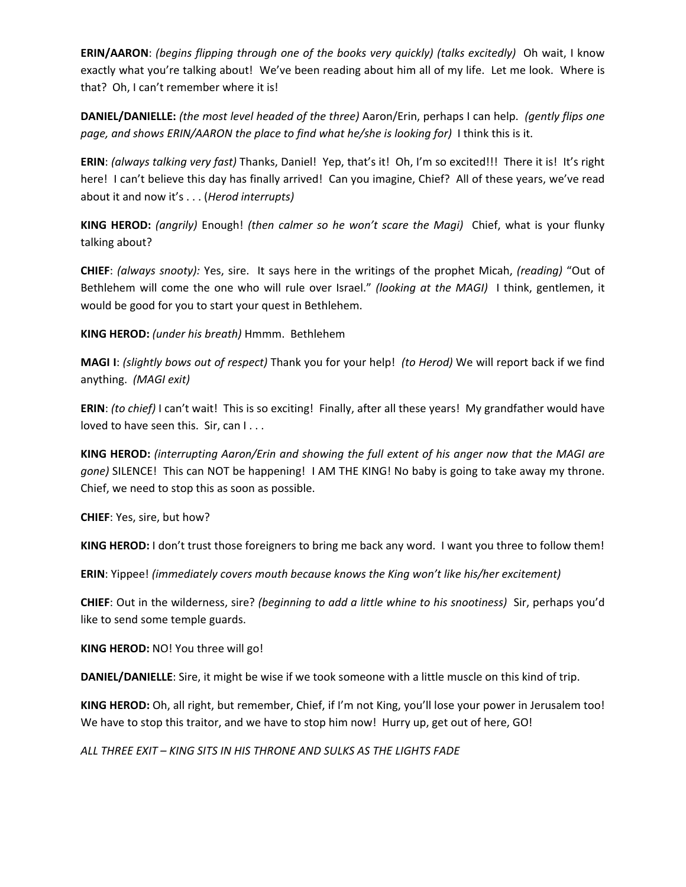**ERIN/AARON**: *(begins flipping through one of the books very quickly) (talks excitedly)* Oh wait, I know exactly what you're talking about! We've been reading about him all of my life. Let me look. Where is that? Oh, I can't remember where it is!

**DANIEL/DANIELLE:** *(the most level headed of the three)* Aaron/Erin, perhaps I can help. *(gently flips one page, and shows ERIN/AARON the place to find what he/she is looking for)* I think this is it.

**ERIN**: *(always talking very fast)* Thanks, Daniel! Yep, that's it! Oh, I'm so excited!!! There it is! It's right here! I can't believe this day has finally arrived! Can you imagine, Chief? All of these years, we've read about it and now it's . . . (*Herod interrupts)*

**KING HEROD:** *(angrily)* Enough! *(then calmer so he won't scare the Magi)* Chief, what is your flunky talking about?

**CHIEF**: *(always snooty):* Yes, sire. It says here in the writings of the prophet Micah, *(reading)* "Out of Bethlehem will come the one who will rule over Israel." *(looking at the MAGI)* I think, gentlemen, it would be good for you to start your quest in Bethlehem.

**KING HEROD:** *(under his breath)* Hmmm. Bethlehem

**MAGI I**: *(slightly bows out of respect)* Thank you for your help! *(to Herod)* We will report back if we find anything. *(MAGI exit)*

**ERIN**: *(to chief)* I can't wait! This is so exciting! Finally, after all these years! My grandfather would have loved to have seen this. Sir, can I...

**KING HEROD:** *(interrupting Aaron/Erin and showing the full extent of his anger now that the MAGI are gone)* SILENCE! This can NOT be happening! I AM THE KING! No baby is going to take away my throne. Chief, we need to stop this as soon as possible.

**CHIEF**: Yes, sire, but how?

**KING HEROD:** I don't trust those foreigners to bring me back any word. I want you three to follow them!

**ERIN**: Yippee! *(immediately covers mouth because knows the King won't like his/her excitement)*

**CHIEF**: Out in the wilderness, sire? *(beginning to add a little whine to his snootiness)* Sir, perhaps you'd like to send some temple guards.

**KING HEROD:** NO! You three will go!

**DANIEL/DANIELLE**: Sire, it might be wise if we took someone with a little muscle on this kind of trip.

**KING HEROD:** Oh, all right, but remember, Chief, if I'm not King, you'll lose your power in Jerusalem too! We have to stop this traitor, and we have to stop him now! Hurry up, get out of here, GO!

*ALL THREE EXIT – KING SITS IN HIS THRONE AND SULKS AS THE LIGHTS FADE*